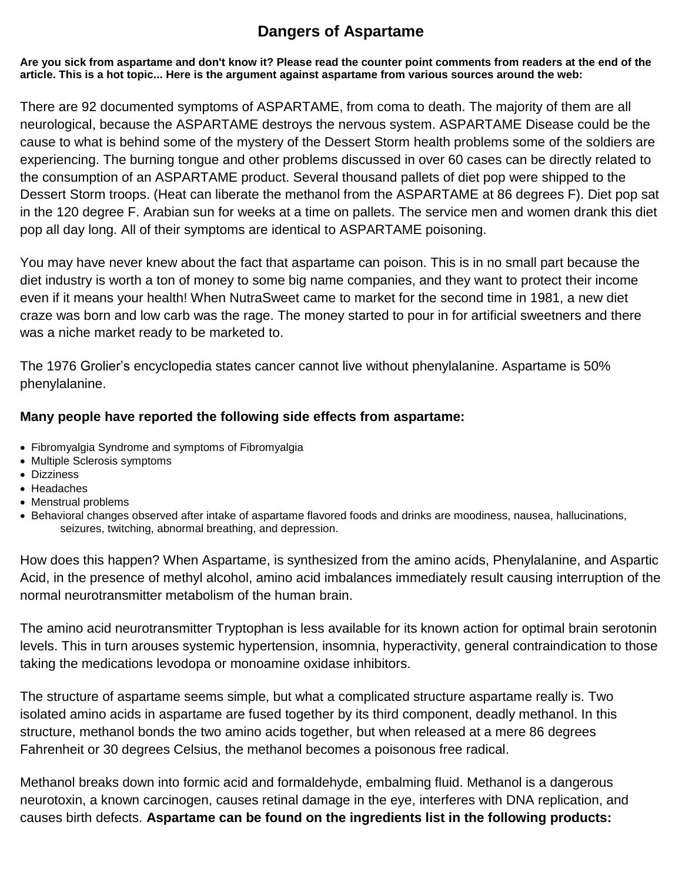# **Dangers of Aspartame**

**Are you sick from aspartame and don't know it? Please read the counter point comments from readers at the end of the article. This is a hot topic... Here is the argument against aspartame from various sources around the web:**

There are 92 documented symptoms of ASPARTAME, from coma to death. The majority of them are all neurological, because the ASPARTAME destroys the nervous system. ASPARTAME Disease could be the cause to what is behind some of the mystery of the Dessert Storm health problems some of the soldiers are experiencing. The burning tongue and other problems discussed in over 60 cases can be directly related to the consumption of an ASPARTAME product. Several thousand pallets of diet pop were shipped to the Dessert Storm troops. (Heat can liberate the methanol from the ASPARTAME at 86 degrees F). Diet pop sat in the 120 degree F. Arabian sun for weeks at a time on pallets. The service men and women drank this diet pop all day long. All of their symptoms are identical to ASPARTAME poisoning.

You may have never knew about the fact that aspartame can poison. This is in no small part because the diet industry is worth a ton of money to some big name companies, and they want to protect their income even if it means your health! When NutraSweet came to market for the second time in 1981, a new diet craze was born and low carb was the rage. The money started to pour in for artificial sweetners and there was a niche market ready to be marketed to.

The 1976 Grolier's encyclopedia states cancer cannot live without phenylalanine. Aspartame is 50% phenylalanine.

#### **Many people have reported the following side effects from aspartame:**

- Fibromyalgia Syndrome and symptoms of Fibromyalgia
- Multiple Sclerosis symptoms
- Dizziness
- Headaches
- Menstrual problems
- Behavioral changes observed after intake of aspartame flavored foods and drinks are moodiness, nausea, hallucinations, seizures, twitching, abnormal breathing, and depression.

How does this happen? When Aspartame, is synthesized from the amino acids, Phenylalanine, and Aspartic Acid, in the presence of methyl alcohol, amino acid imbalances immediately result causing interruption of the normal neurotransmitter metabolism of the human brain.

The amino acid neurotransmitter Tryptophan is less available for its known action for optimal brain serotonin levels. This in turn arouses systemic hypertension, insomnia, hyperactivity, general contraindication to those taking the medications levodopa or monoamine oxidase inhibitors.

The structure of aspartame seems simple, but what a complicated structure aspartame really is. Two isolated amino acids in aspartame are fused together by its third component, deadly methanol. In this structure, methanol bonds the two amino acids together, but when released at a mere 86 degrees Fahrenheit or 30 degrees Celsius, the methanol becomes a poisonous free radical.

Methanol breaks down into formic acid and formaldehyde, embalming fluid. Methanol is a dangerous neurotoxin, a known carcinogen, causes retinal damage in the eye, interferes with DNA replication, and causes birth defects. **Aspartame can be found on the ingredients list in the following products:**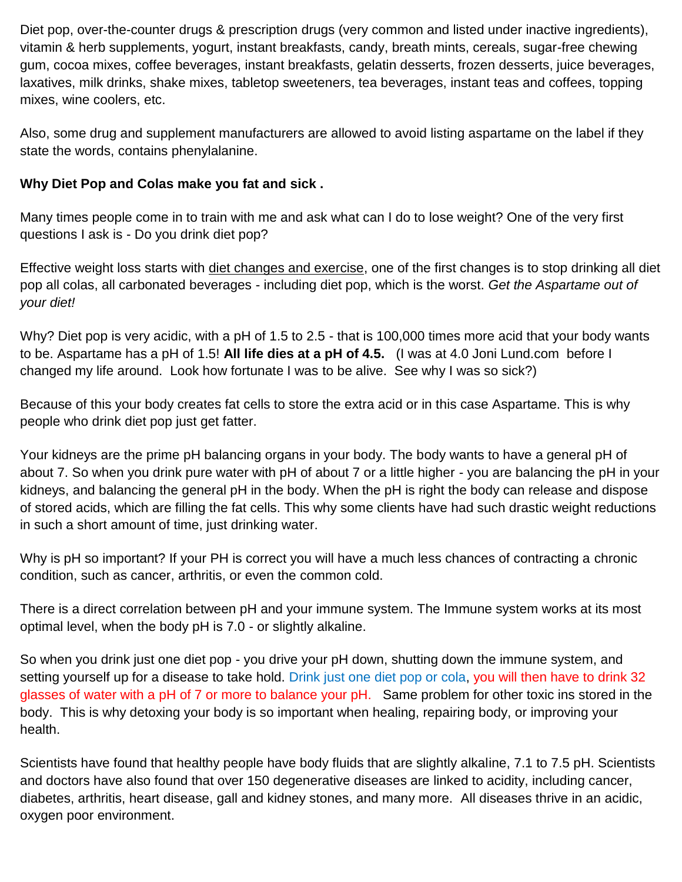Diet pop, over-the-counter drugs & prescription drugs (very common and listed under inactive ingredients), vitamin & herb supplements, yogurt, instant breakfasts, candy, breath mints, cereals, sugar-free chewing gum, cocoa mixes, coffee beverages, instant breakfasts, gelatin desserts, frozen desserts, juice beverages, laxatives, milk drinks, shake mixes, tabletop sweeteners, tea beverages, instant teas and coffees, topping mixes, wine coolers, etc.

Also, some drug and supplement manufacturers are allowed to avoid listing aspartame on the label if they state the words, contains phenylalanine.

### **Why Diet Pop and Colas make you fat and sick .**

Many times people come in to train with me and ask what can I do to lose weight? One of the very first questions I ask is - Do you drink diet pop?

Effective weight loss starts with [diet changes and exercise,](http://www.fattofitbook.com/) one of the first changes is to stop drinking all diet pop all colas, all carbonated beverages - including diet pop, which is the worst. *Get the Aspartame out of your diet!*

Why? Diet pop is very acidic, with a pH of 1.5 to 2.5 - that is 100,000 times more acid that your body wants to be. Aspartame has a pH of 1.5! **All life dies at a pH of 4.5.** (I was at 4.0 Joni Lund.com before I changed my life around. Look how fortunate I was to be alive. See why I was so sick?)

Because of this your body creates fat cells to store the extra acid or in this case Aspartame. This is why people who drink diet pop just get fatter.

Your kidneys are the prime pH balancing organs in your body. The body wants to have a general pH of about 7. So when you drink pure water with pH of about 7 or a little higher - you are balancing the pH in your kidneys, and balancing the general pH in the body. When the pH is right the body can release and dispose of stored acids, which are filling the fat cells. This why some clients have had such drastic weight reductions in such a short amount of time, just drinking water.

Why is pH so important? If your PH is correct you will have a much less chances of contracting a chronic condition, such as cancer, arthritis, or even the common cold.

There is a direct correlation between pH and your immune system. The Immune system works at its most optimal level, when the body pH is 7.0 - or slightly alkaline.

So when you drink just one diet pop - you drive your pH down, shutting down the immune system, and setting yourself up for a disease to take hold. Drink just one diet pop or cola, you will then have to drink 32 glasses of water with a pH of 7 or more to balance your pH. Same problem for other toxic ins stored in the body. This is why detoxing your body is so important when healing, repairing body, or improving your health.

Scientists have found that healthy people have body fluids that are slightly alkaline, 7.1 to 7.5 pH. Scientists and doctors have also found that over 150 degenerative diseases are linked to acidity, including cancer, diabetes, arthritis, heart disease, gall and kidney stones, and many more. All diseases thrive in an acidic, oxygen poor environment.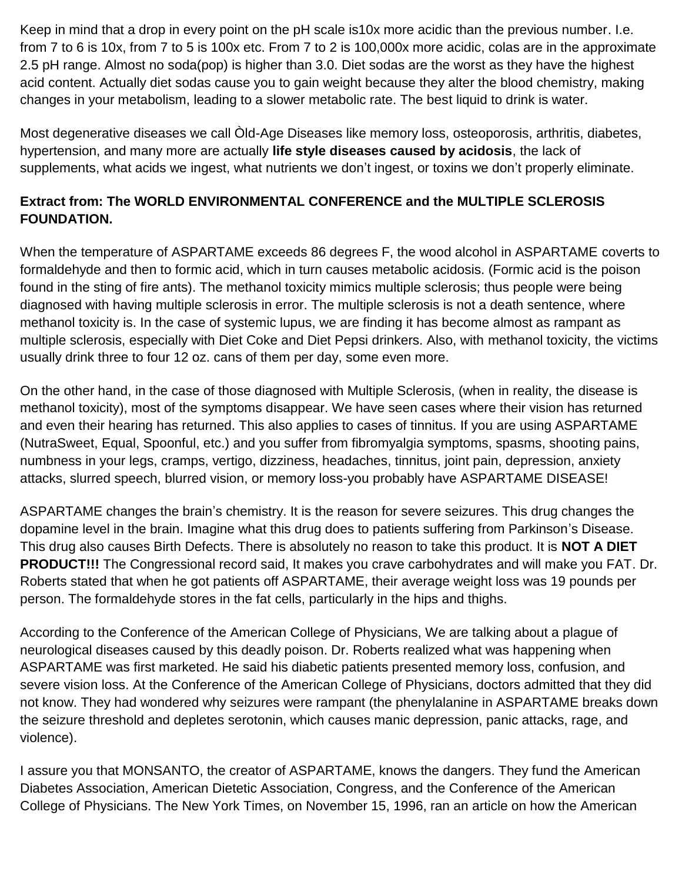Keep in mind that a drop in every point on the pH scale is10x more acidic than the previous number. I.e. from 7 to 6 is 10x, from 7 to 5 is 100x etc. From 7 to 2 is 100,000x more acidic, colas are in the approximate 2.5 pH range. Almost no soda(pop) is higher than 3.0. Diet sodas are the worst as they have the highest acid content. Actually diet sodas cause you to gain weight because they alter the blood chemistry, making changes in your metabolism, leading to a slower metabolic rate. The best liquid to drink is water.

Most degenerative diseases we call Òld-Age Diseases like memory loss, osteoporosis, arthritis, diabetes, hypertension, and many more are actually **life style diseases caused by acidosis**, the lack of supplements, what acids we ingest, what nutrients we don't ingest, or toxins we don't properly eliminate.

## **Extract from: The WORLD ENVIRONMENTAL CONFERENCE and the MULTIPLE SCLEROSIS FOUNDATION.**

When the temperature of ASPARTAME exceeds 86 degrees F, the wood alcohol in ASPARTAME coverts to formaldehyde and then to formic acid, which in turn causes metabolic acidosis. (Formic acid is the poison found in the sting of fire ants). The methanol toxicity mimics multiple sclerosis; thus people were being diagnosed with having multiple sclerosis in error. The multiple sclerosis is not a death sentence, where methanol toxicity is. In the case of systemic lupus, we are finding it has become almost as rampant as multiple sclerosis, especially with Diet Coke and Diet Pepsi drinkers. Also, with methanol toxicity, the victims usually drink three to four 12 oz. cans of them per day, some even more.

On the other hand, in the case of those diagnosed with Multiple Sclerosis, (when in reality, the disease is methanol toxicity), most of the symptoms disappear. We have seen cases where their vision has returned and even their hearing has returned. This also applies to cases of tinnitus. If you are using ASPARTAME (NutraSweet, Equal, Spoonful, etc.) and you suffer from fibromyalgia symptoms, spasms, shooting pains, numbness in your legs, cramps, vertigo, dizziness, headaches, tinnitus, joint pain, depression, anxiety attacks, slurred speech, blurred vision, or memory loss-you probably have ASPARTAME DISEASE!

ASPARTAME changes the brain's chemistry. It is the reason for severe seizures. This drug changes the dopamine level in the brain. Imagine what this drug does to patients suffering from Parkinson's Disease. This drug also causes Birth Defects. There is absolutely no reason to take this product. It is **NOT A DIET PRODUCT!!!** The Congressional record said, It makes you crave carbohydrates and will make you FAT. Dr. Roberts stated that when he got patients off ASPARTAME, their average weight loss was 19 pounds per person. The formaldehyde stores in the fat cells, particularly in the hips and thighs.

According to the Conference of the American College of Physicians, We are talking about a plague of neurological diseases caused by this deadly poison. Dr. Roberts realized what was happening when ASPARTAME was first marketed. He said his diabetic patients presented memory loss, confusion, and severe vision loss. At the Conference of the American College of Physicians, doctors admitted that they did not know. They had wondered why seizures were rampant (the phenylalanine in ASPARTAME breaks down the seizure threshold and depletes serotonin, which causes manic depression, panic attacks, rage, and violence).

I assure you that MONSANTO, the creator of ASPARTAME, knows the dangers. They fund the American Diabetes Association, American Dietetic Association, Congress, and the Conference of the American College of Physicians. The New York Times, on November 15, 1996, ran an article on how the American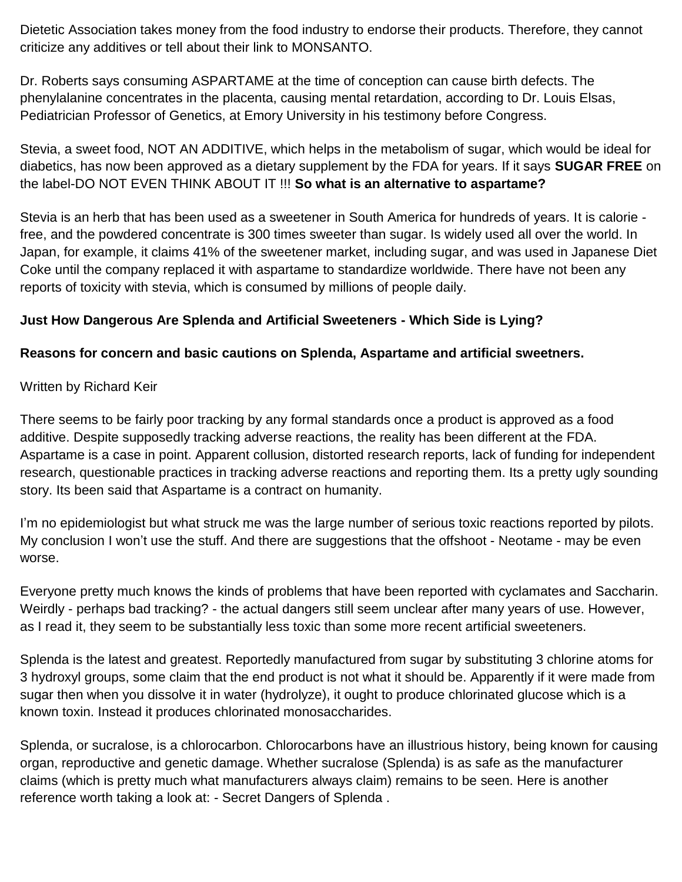Dietetic Association takes money from the food industry to endorse their products. Therefore, they cannot criticize any additives or tell about their link to MONSANTO.

Dr. Roberts says consuming ASPARTAME at the time of conception can cause birth defects. The phenylalanine concentrates in the placenta, causing mental retardation, according to Dr. Louis Elsas, Pediatrician Professor of Genetics, at Emory University in his testimony before Congress.

Stevia, a sweet food, NOT AN ADDITIVE, which helps in the metabolism of sugar, which would be ideal for diabetics, has now been approved as a dietary supplement by the FDA for years. If it says **SUGAR FREE** on the label-DO NOT EVEN THINK ABOUT IT !!! **So what is an alternative to aspartame?**

Stevia is an herb that has been used as a sweetener in South America for hundreds of years. It is calorie free, and the powdered concentrate is 300 times sweeter than sugar. Is widely used all over the world. In Japan, for example, it claims 41% of the sweetener market, including sugar, and was used in Japanese Diet Coke until the company replaced it with aspartame to standardize worldwide. There have not been any reports of toxicity with stevia, which is consumed by millions of people daily.

## **Just How Dangerous Are Splenda and Artificial Sweeteners - Which Side is Lying?**

#### **Reasons for concern and basic cautions on Splenda, Aspartame and artificial sweetners.**

#### Written by Richard Keir

There seems to be fairly poor tracking by any formal standards once a product is approved as a food additive. Despite supposedly tracking adverse reactions, the reality has been different at the FDA. Aspartame is a case in point. Apparent collusion, distorted research reports, lack of funding for independent research, questionable practices in tracking adverse reactions and reporting them. Its a pretty ugly sounding story. Its been said that Aspartame is a contract on humanity.

I'm no epidemiologist but what struck me was the large number of serious toxic reactions reported by pilots. My conclusion I won't use the stuff. And there are suggestions that the offshoot - Neotame - may be even worse.

Everyone pretty much knows the kinds of problems that have been reported with cyclamates and Saccharin. Weirdly - perhaps bad tracking? - the actual dangers still seem unclear after many years of use. However, as I read it, they seem to be substantially less toxic than some more recent artificial sweeteners.

Splenda is the latest and greatest. Reportedly manufactured from sugar by substituting 3 chlorine atoms for 3 hydroxyl groups, some claim that the end product is not what it should be. Apparently if it were made from sugar then when you dissolve it in water (hydrolyze), it ought to produce chlorinated glucose which is a known toxin. Instead it produces chlorinated monosaccharides.

Splenda, or sucralose, is a chlorocarbon. Chlorocarbons have an illustrious history, being known for causing organ, reproductive and genetic damage. Whether sucralose (Splenda) is as safe as the manufacturer claims (which is pretty much what manufacturers always claim) remains to be seen. Here is another reference worth taking a look at: - Secret Dangers of Splenda .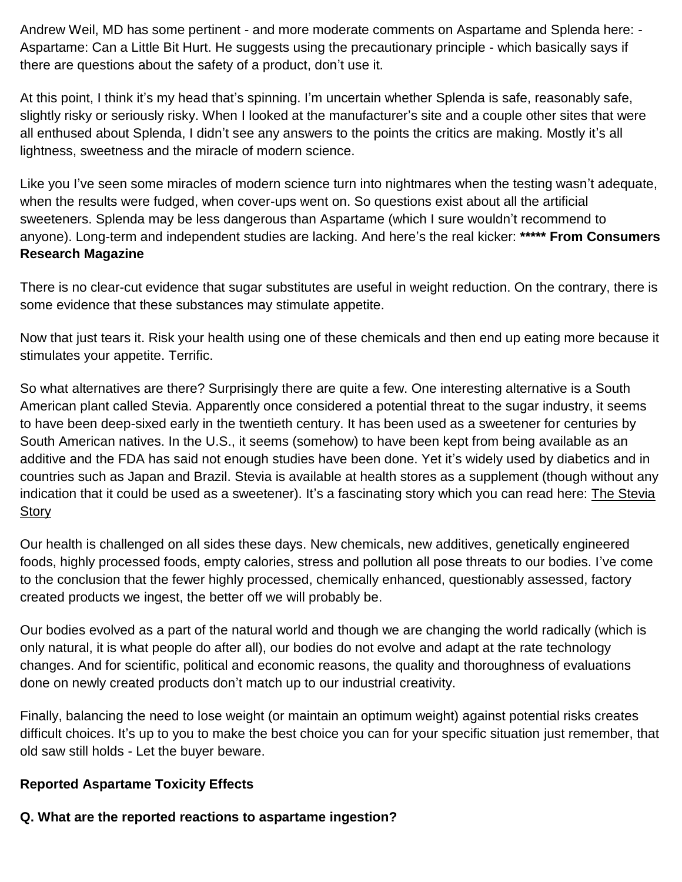Andrew Weil, MD has some pertinent - and more moderate comments on Aspartame and Splenda here: - Aspartame: Can a Little Bit Hurt. He suggests using the precautionary principle - which basically says if there are questions about the safety of a product, don't use it.

At this point, I think it's my head that's spinning. I'm uncertain whether Splenda is safe, reasonably safe, slightly risky or seriously risky. When I looked at the manufacturer's site and a couple other sites that were all enthused about Splenda, I didn't see any answers to the points the critics are making. Mostly it's all lightness, sweetness and the miracle of modern science.

Like you I've seen some miracles of modern science turn into nightmares when the testing wasn't adequate, when the results were fudged, when cover-ups went on. So questions exist about all the artificial sweeteners. Splenda may be less dangerous than Aspartame (which I sure wouldn't recommend to anyone). Long-term and independent studies are lacking. And here's the real kicker: **\*\*\*\*\* From Consumers Research Magazine**

There is no clear-cut evidence that sugar substitutes are useful in weight reduction. On the contrary, there is some evidence that these substances may stimulate appetite.

Now that just tears it. Risk your health using one of these chemicals and then end up eating more because it stimulates your appetite. Terrific.

So what alternatives are there? Surprisingly there are quite a few. One interesting alternative is a South American plant called Stevia. Apparently once considered a potential threat to the sugar industry, it seems to have been deep-sixed early in the twentieth century. It has been used as a sweetener for centuries by South American natives. In the U.S., it seems (somehow) to have been kept from being available as an additive and the FDA has said not enough studies have been done. Yet it's widely used by diabetics and in countries such as Japan and Brazil. Stevia is available at health stores as a supplement (though without any indication that it could be used as a sweetener). It's a fascinating story which you can read here: The Stevia [Story](http://www.stevia.net/) 

Our health is challenged on all sides these days. New chemicals, new additives, genetically engineered foods, highly processed foods, empty calories, stress and pollution all pose threats to our bodies. I've come to the conclusion that the fewer highly processed, chemically enhanced, questionably assessed, factory created products we ingest, the better off we will probably be.

Our bodies evolved as a part of the natural world and though we are changing the world radically (which is only natural, it is what people do after all), our bodies do not evolve and adapt at the rate technology changes. And for scientific, political and economic reasons, the quality and thoroughness of evaluations done on newly created products don't match up to our industrial creativity.

Finally, balancing the need to lose weight (or maintain an optimum weight) against potential risks creates difficult choices. It's up to you to make the best choice you can for your specific situation just remember, that old saw still holds - Let the buyer beware.

#### **Reported Aspartame Toxicity Effects**

# **Q. What are the reported reactions to aspartame ingestion?**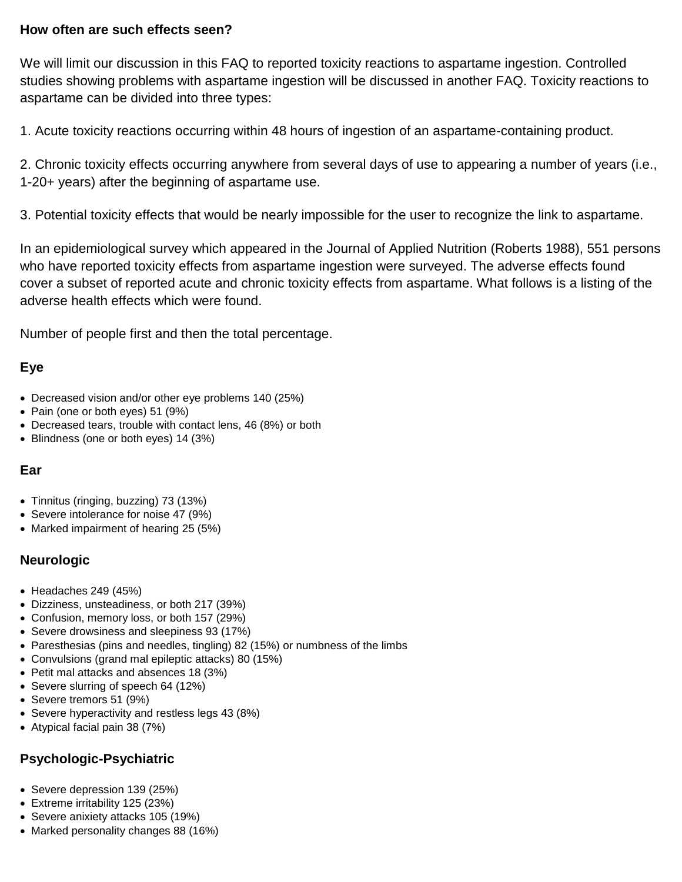#### **How often are such effects seen?**

We will limit our discussion in this FAQ to reported toxicity reactions to aspartame ingestion. Controlled studies showing problems with aspartame ingestion will be discussed in another FAQ. Toxicity reactions to aspartame can be divided into three types:

1. Acute toxicity reactions occurring within 48 hours of ingestion of an aspartame-containing product.

2. Chronic toxicity effects occurring anywhere from several days of use to appearing a number of years (i.e., 1-20+ years) after the beginning of aspartame use.

3. Potential toxicity effects that would be nearly impossible for the user to recognize the link to aspartame.

In an epidemiological survey which appeared in the Journal of Applied Nutrition (Roberts 1988), 551 persons who have reported toxicity effects from aspartame ingestion were surveyed. The adverse effects found cover a subset of reported acute and chronic toxicity effects from aspartame. What follows is a listing of the adverse health effects which were found.

Number of people first and then the total percentage.

## **Eye**

- Decreased vision and/or other eye problems 140 (25%)
- Pain (one or both eyes) 51 (9%)
- Decreased tears, trouble with contact lens, 46 (8%) or both
- Blindness (one or both eyes) 14 (3%)

#### **Ear**

- Tinnitus (ringing, buzzing) 73 (13%)
- Severe intolerance for noise 47 (9%)
- Marked impairment of hearing 25 (5%)

#### **Neurologic**

- $\bullet$  Headaches 249 (45%)
- Dizziness, unsteadiness, or both 217 (39%)
- Confusion, memory loss, or both 157 (29%)
- Severe drowsiness and sleepiness 93 (17%)
- Paresthesias (pins and needles, tingling) 82 (15%) or numbness of the limbs
- Convulsions (grand mal epileptic attacks) 80 (15%)
- Petit mal attacks and absences 18 (3%)
- Severe slurring of speech 64 (12%)
- Severe tremors 51 (9%)
- Severe hyperactivity and restless legs 43 (8%)
- Atypical facial pain 38 (7%)

#### **Psychologic-Psychiatric**

- Severe depression 139 (25%)
- Extreme irritability 125 (23%)
- Severe anixiety attacks 105 (19%)
- Marked personality changes 88 (16%)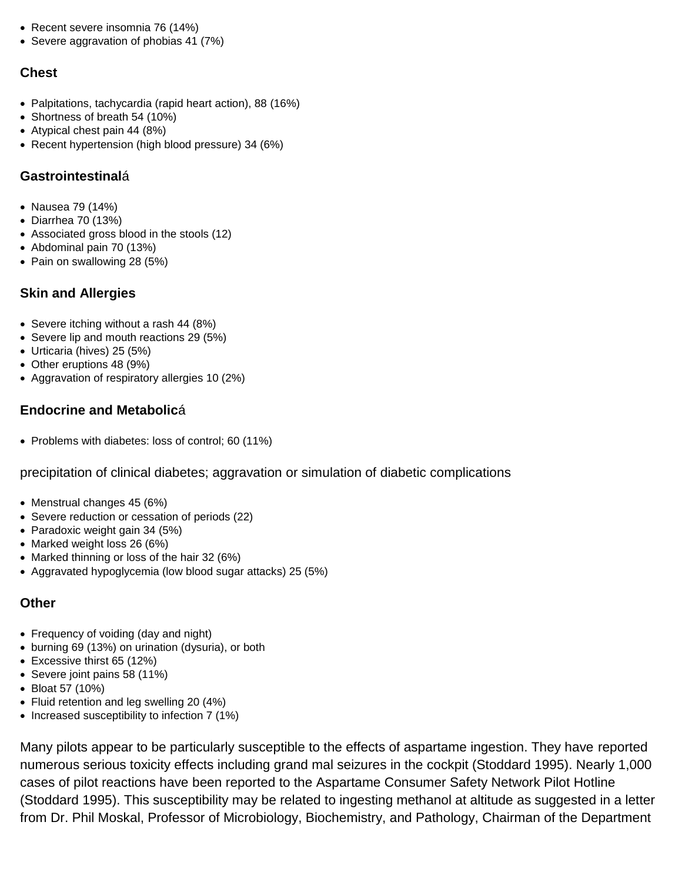- Recent severe insomnia 76 (14%)
- Severe aggravation of phobias 41 (7%)

#### **Chest**

- Palpitations, tachycardia (rapid heart action), 88 (16%)
- Shortness of breath 54 (10%)
- Atypical chest pain 44 (8%)
- Recent hypertension (high blood pressure) 34 (6%)

#### **Gastrointestinal**á

- Nausea 79 (14%)
- Diarrhea 70 (13%)
- Associated gross blood in the stools (12)
- Abdominal pain 70 (13%)
- Pain on swallowing 28 (5%)

#### **Skin and Allergies**

- Severe itching without a rash 44 (8%)
- Severe lip and mouth reactions 29 (5%)
- Urticaria (hives) 25 (5%)
- Other eruptions 48 (9%)
- Aggravation of respiratory allergies 10 (2%)

#### **Endocrine and Metabolic**á

• Problems with diabetes: loss of control; 60 (11%)

precipitation of clinical diabetes; aggravation or simulation of diabetic complications

- Menstrual changes 45 (6%)
- Severe reduction or cessation of periods (22)
- Paradoxic weight gain 34 (5%)
- Marked weight loss 26 (6%)
- Marked thinning or loss of the hair 32 (6%)
- Aggravated hypoglycemia (low blood sugar attacks) 25 (5%)

#### **Other**

- Frequency of voiding (day and night)
- burning 69 (13%) on urination (dysuria), or both
- Excessive thirst 65 (12%)
- Severe joint pains 58 (11%)
- Bloat 57 (10%)
- Fluid retention and leg swelling 20 (4%)
- Increased susceptibility to infection 7 (1%)

Many pilots appear to be particularly susceptible to the effects of aspartame ingestion. They have reported numerous serious toxicity effects including grand mal seizures in the cockpit (Stoddard 1995). Nearly 1,000 cases of pilot reactions have been reported to the Aspartame Consumer Safety Network Pilot Hotline (Stoddard 1995). This susceptibility may be related to ingesting methanol at altitude as suggested in a letter from Dr. Phil Moskal, Professor of Microbiology, Biochemistry, and Pathology, Chairman of the Department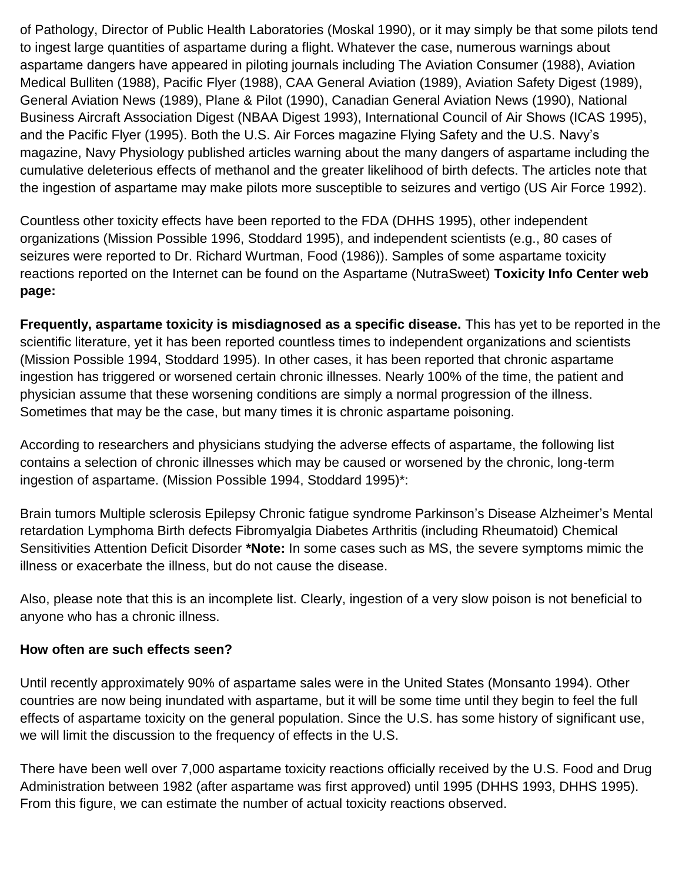of Pathology, Director of Public Health Laboratories (Moskal 1990), or it may simply be that some pilots tend to ingest large quantities of aspartame during a flight. Whatever the case, numerous warnings about aspartame dangers have appeared in piloting journals including The Aviation Consumer (1988), Aviation Medical Bulliten (1988), Pacific Flyer (1988), CAA General Aviation (1989), Aviation Safety Digest (1989), General Aviation News (1989), Plane & Pilot (1990), Canadian General Aviation News (1990), National Business Aircraft Association Digest (NBAA Digest 1993), International Council of Air Shows (ICAS 1995), and the Pacific Flyer (1995). Both the U.S. Air Forces magazine Flying Safety and the U.S. Navy's magazine, Navy Physiology published articles warning about the many dangers of aspartame including the cumulative deleterious effects of methanol and the greater likelihood of birth defects. The articles note that the ingestion of aspartame may make pilots more susceptible to seizures and vertigo (US Air Force 1992).

Countless other toxicity effects have been reported to the FDA (DHHS 1995), other independent organizations (Mission Possible 1996, Stoddard 1995), and independent scientists (e.g., 80 cases of seizures were reported to Dr. Richard Wurtman, Food (1986)). Samples of some aspartame toxicity reactions reported on the Internet can be found on the Aspartame (NutraSweet) **Toxicity Info Center web page:**

**Frequently, aspartame toxicity is misdiagnosed as a specific disease.** This has yet to be reported in the scientific literature, yet it has been reported countless times to independent organizations and scientists (Mission Possible 1994, Stoddard 1995). In other cases, it has been reported that chronic aspartame ingestion has triggered or worsened certain chronic illnesses. Nearly 100% of the time, the patient and physician assume that these worsening conditions are simply a normal progression of the illness. Sometimes that may be the case, but many times it is chronic aspartame poisoning.

According to researchers and physicians studying the adverse effects of aspartame, the following list contains a selection of chronic illnesses which may be caused or worsened by the chronic, long-term ingestion of aspartame. (Mission Possible 1994, Stoddard 1995)\*:

Brain tumors Multiple sclerosis Epilepsy Chronic fatigue syndrome Parkinson's Disease Alzheimer's Mental retardation Lymphoma Birth defects Fibromyalgia Diabetes Arthritis (including Rheumatoid) Chemical Sensitivities Attention Deficit Disorder **\*Note:** In some cases such as MS, the severe symptoms mimic the illness or exacerbate the illness, but do not cause the disease.

Also, please note that this is an incomplete list. Clearly, ingestion of a very slow poison is not beneficial to anyone who has a chronic illness.

#### **How often are such effects seen?**

Until recently approximately 90% of aspartame sales were in the United States (Monsanto 1994). Other countries are now being inundated with aspartame, but it will be some time until they begin to feel the full effects of aspartame toxicity on the general population. Since the U.S. has some history of significant use, we will limit the discussion to the frequency of effects in the U.S.

There have been well over 7,000 aspartame toxicity reactions officially received by the U.S. Food and Drug Administration between 1982 (after aspartame was first approved) until 1995 (DHHS 1993, DHHS 1995). From this figure, we can estimate the number of actual toxicity reactions observed.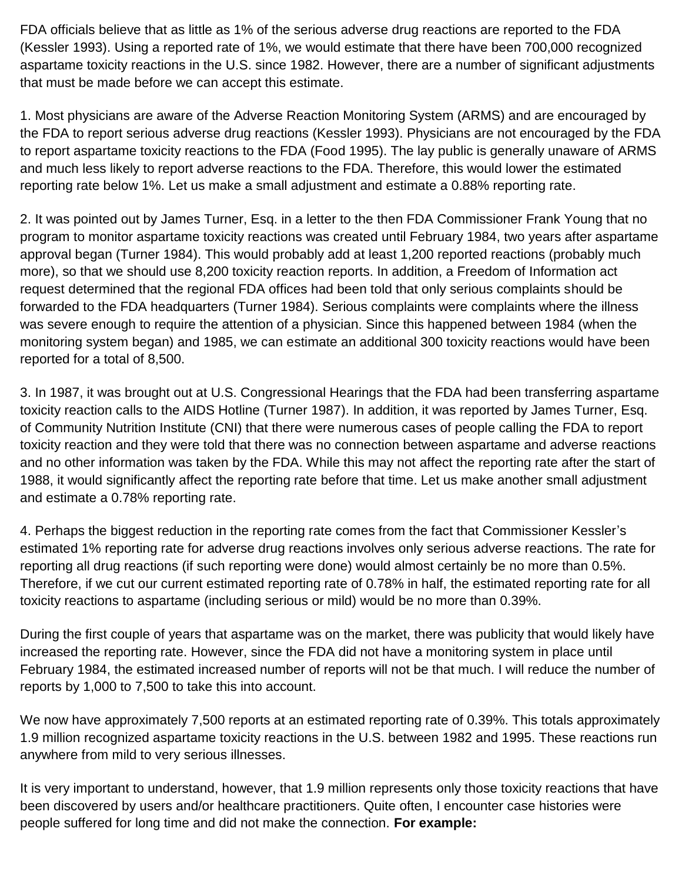FDA officials believe that as little as 1% of the serious adverse drug reactions are reported to the FDA (Kessler 1993). Using a reported rate of 1%, we would estimate that there have been 700,000 recognized aspartame toxicity reactions in the U.S. since 1982. However, there are a number of significant adjustments that must be made before we can accept this estimate.

1. Most physicians are aware of the Adverse Reaction Monitoring System (ARMS) and are encouraged by the FDA to report serious adverse drug reactions (Kessler 1993). Physicians are not encouraged by the FDA to report aspartame toxicity reactions to the FDA (Food 1995). The lay public is generally unaware of ARMS and much less likely to report adverse reactions to the FDA. Therefore, this would lower the estimated reporting rate below 1%. Let us make a small adjustment and estimate a 0.88% reporting rate.

2. It was pointed out by James Turner, Esq. in a letter to the then FDA Commissioner Frank Young that no program to monitor aspartame toxicity reactions was created until February 1984, two years after aspartame approval began (Turner 1984). This would probably add at least 1,200 reported reactions (probably much more), so that we should use 8,200 toxicity reaction reports. In addition, a Freedom of Information act request determined that the regional FDA offices had been told that only serious complaints should be forwarded to the FDA headquarters (Turner 1984). Serious complaints were complaints where the illness was severe enough to require the attention of a physician. Since this happened between 1984 (when the monitoring system began) and 1985, we can estimate an additional 300 toxicity reactions would have been reported for a total of 8,500.

3. In 1987, it was brought out at U.S. Congressional Hearings that the FDA had been transferring aspartame toxicity reaction calls to the AIDS Hotline (Turner 1987). In addition, it was reported by James Turner, Esq. of Community Nutrition Institute (CNI) that there were numerous cases of people calling the FDA to report toxicity reaction and they were told that there was no connection between aspartame and adverse reactions and no other information was taken by the FDA. While this may not affect the reporting rate after the start of 1988, it would significantly affect the reporting rate before that time. Let us make another small adjustment and estimate a 0.78% reporting rate.

4. Perhaps the biggest reduction in the reporting rate comes from the fact that Commissioner Kessler's estimated 1% reporting rate for adverse drug reactions involves only serious adverse reactions. The rate for reporting all drug reactions (if such reporting were done) would almost certainly be no more than 0.5%. Therefore, if we cut our current estimated reporting rate of 0.78% in half, the estimated reporting rate for all toxicity reactions to aspartame (including serious or mild) would be no more than 0.39%.

During the first couple of years that aspartame was on the market, there was publicity that would likely have increased the reporting rate. However, since the FDA did not have a monitoring system in place until February 1984, the estimated increased number of reports will not be that much. I will reduce the number of reports by 1,000 to 7,500 to take this into account.

We now have approximately 7,500 reports at an estimated reporting rate of 0.39%. This totals approximately 1.9 million recognized aspartame toxicity reactions in the U.S. between 1982 and 1995. These reactions run anywhere from mild to very serious illnesses.

It is very important to understand, however, that 1.9 million represents only those toxicity reactions that have been discovered by users and/or healthcare practitioners. Quite often, I encounter case histories were people suffered for long time and did not make the connection. **For example:**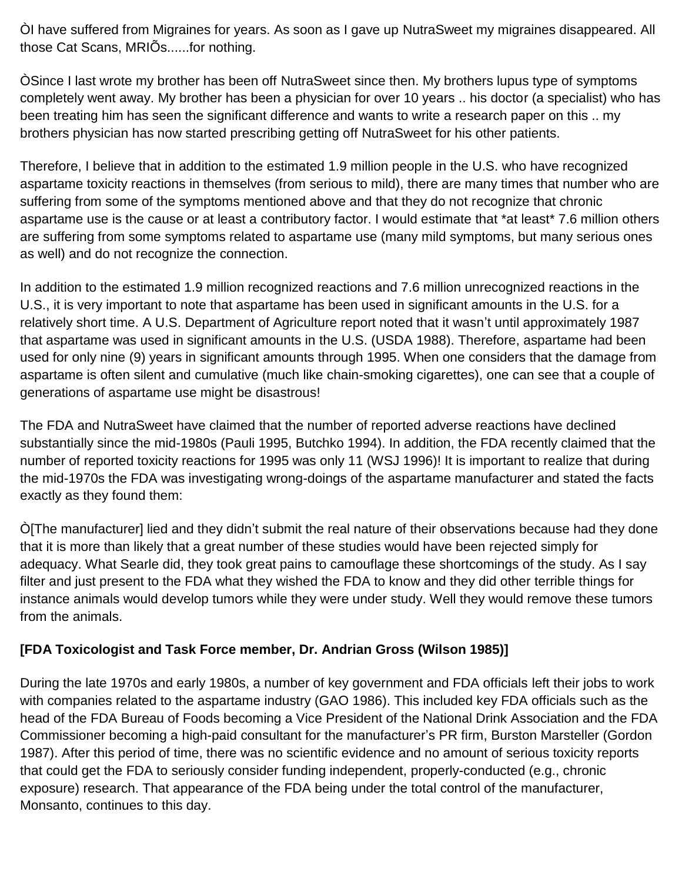ÒI have suffered from Migraines for years. As soon as I gave up NutraSweet my migraines disappeared. All those Cat Scans, MRIÕs......for nothing.

ÒSince I last wrote my brother has been off NutraSweet since then. My brothers lupus type of symptoms completely went away. My brother has been a physician for over 10 years .. his doctor (a specialist) who has been treating him has seen the significant difference and wants to write a research paper on this .. my brothers physician has now started prescribing getting off NutraSweet for his other patients.

Therefore, I believe that in addition to the estimated 1.9 million people in the U.S. who have recognized aspartame toxicity reactions in themselves (from serious to mild), there are many times that number who are suffering from some of the symptoms mentioned above and that they do not recognize that chronic aspartame use is the cause or at least a contributory factor. I would estimate that \*at least\* 7.6 million others are suffering from some symptoms related to aspartame use (many mild symptoms, but many serious ones as well) and do not recognize the connection.

In addition to the estimated 1.9 million recognized reactions and 7.6 million unrecognized reactions in the U.S., it is very important to note that aspartame has been used in significant amounts in the U.S. for a relatively short time. A U.S. Department of Agriculture report noted that it wasn't until approximately 1987 that aspartame was used in significant amounts in the U.S. (USDA 1988). Therefore, aspartame had been used for only nine (9) years in significant amounts through 1995. When one considers that the damage from aspartame is often silent and cumulative (much like chain-smoking cigarettes), one can see that a couple of generations of aspartame use might be disastrous!

The FDA and NutraSweet have claimed that the number of reported adverse reactions have declined substantially since the mid-1980s (Pauli 1995, Butchko 1994). In addition, the FDA recently claimed that the number of reported toxicity reactions for 1995 was only 11 (WSJ 1996)! It is important to realize that during the mid-1970s the FDA was investigating wrong-doings of the aspartame manufacturer and stated the facts exactly as they found them:

Ò[The manufacturer] lied and they didn't submit the real nature of their observations because had they done that it is more than likely that a great number of these studies would have been rejected simply for adequacy. What Searle did, they took great pains to camouflage these shortcomings of the study. As I say filter and just present to the FDA what they wished the FDA to know and they did other terrible things for instance animals would develop tumors while they were under study. Well they would remove these tumors from the animals.

## **[FDA Toxicologist and Task Force member, Dr. Andrian Gross (Wilson 1985)]**

During the late 1970s and early 1980s, a number of key government and FDA officials left their jobs to work with companies related to the aspartame industry (GAO 1986). This included key FDA officials such as the head of the FDA Bureau of Foods becoming a Vice President of the National Drink Association and the FDA Commissioner becoming a high-paid consultant for the manufacturer's PR firm, Burston Marsteller (Gordon 1987). After this period of time, there was no scientific evidence and no amount of serious toxicity reports that could get the FDA to seriously consider funding independent, properly-conducted (e.g., chronic exposure) research. That appearance of the FDA being under the total control of the manufacturer, Monsanto, continues to this day.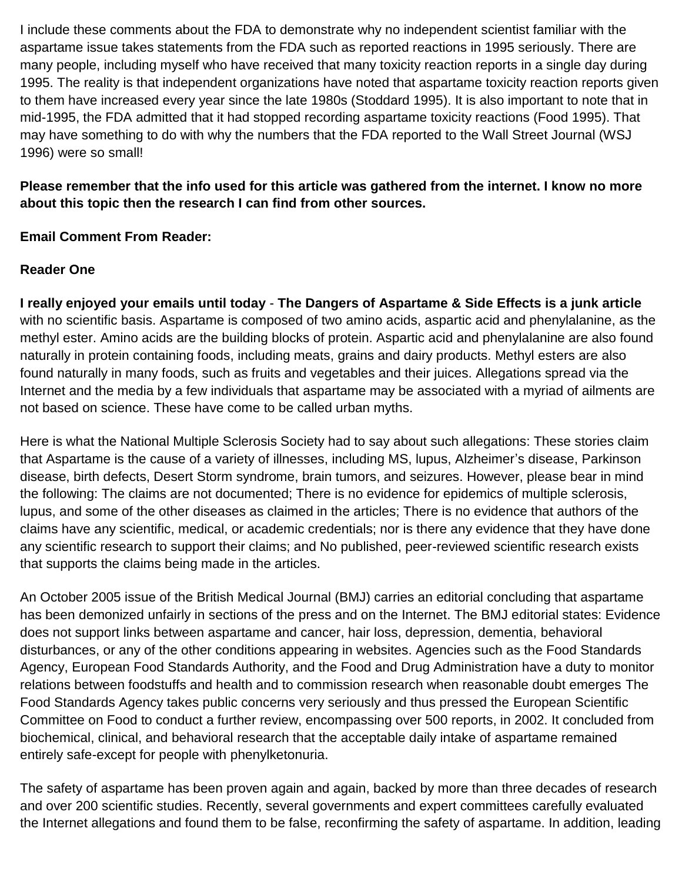I include these comments about the FDA to demonstrate why no independent scientist familiar with the aspartame issue takes statements from the FDA such as reported reactions in 1995 seriously. There are many people, including myself who have received that many toxicity reaction reports in a single day during 1995. The reality is that independent organizations have noted that aspartame toxicity reaction reports given to them have increased every year since the late 1980s (Stoddard 1995). It is also important to note that in mid-1995, the FDA admitted that it had stopped recording aspartame toxicity reactions (Food 1995). That may have something to do with why the numbers that the FDA reported to the Wall Street Journal (WSJ 1996) were so small!

## **Please remember that the info used for this article was gathered from the internet. I know no more about this topic then the research I can find from other sources.**

## **Email Comment From Reader:**

## **Reader One**

**I really enjoyed your emails until today** - **The Dangers of Aspartame & Side Effects is a junk article** with no scientific basis. Aspartame is composed of two amino acids, aspartic acid and phenylalanine, as the methyl ester. Amino acids are the building blocks of protein. Aspartic acid and phenylalanine are also found naturally in protein containing foods, including meats, grains and dairy products. Methyl esters are also found naturally in many foods, such as fruits and vegetables and their juices. Allegations spread via the Internet and the media by a few individuals that aspartame may be associated with a myriad of ailments are not based on science. These have come to be called urban myths.

Here is what the National Multiple Sclerosis Society had to say about such allegations: These stories claim that Aspartame is the cause of a variety of illnesses, including MS, lupus, Alzheimer's disease, Parkinson disease, birth defects, Desert Storm syndrome, brain tumors, and seizures. However, please bear in mind the following: The claims are not documented; There is no evidence for epidemics of multiple sclerosis, lupus, and some of the other diseases as claimed in the articles; There is no evidence that authors of the claims have any scientific, medical, or academic credentials; nor is there any evidence that they have done any scientific research to support their claims; and No published, peer-reviewed scientific research exists that supports the claims being made in the articles.

An October 2005 issue of the British Medical Journal (BMJ) carries an editorial concluding that aspartame has been demonized unfairly in sections of the press and on the Internet. The BMJ editorial states: Evidence does not support links between aspartame and cancer, hair loss, depression, dementia, behavioral disturbances, or any of the other conditions appearing in websites. Agencies such as the Food Standards Agency, European Food Standards Authority, and the Food and Drug Administration have a duty to monitor relations between foodstuffs and health and to commission research when reasonable doubt emerges The Food Standards Agency takes public concerns very seriously and thus pressed the European Scientific Committee on Food to conduct a further review, encompassing over 500 reports, in 2002. It concluded from biochemical, clinical, and behavioral research that the acceptable daily intake of aspartame remained entirely safe-except for people with phenylketonuria.

The safety of aspartame has been proven again and again, backed by more than three decades of research and over 200 scientific studies. Recently, several governments and expert committees carefully evaluated the Internet allegations and found them to be false, reconfirming the safety of aspartame. In addition, leading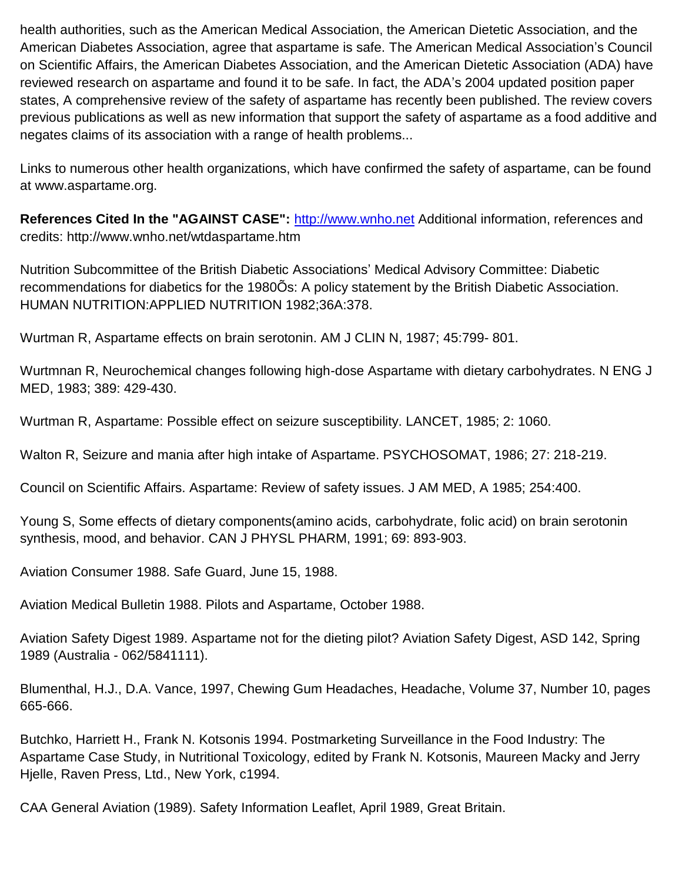health authorities, such as the American Medical Association, the American Dietetic Association, and the American Diabetes Association, agree that aspartame is safe. The American Medical Association's Council on Scientific Affairs, the American Diabetes Association, and the American Dietetic Association (ADA) have reviewed research on aspartame and found it to be safe. In fact, the ADA's 2004 updated position paper states, A comprehensive review of the safety of aspartame has recently been published. The review covers previous publications as well as new information that support the safety of aspartame as a food additive and negates claims of its association with a range of health problems...

Links to numerous other health organizations, which have confirmed the safety of aspartame, can be found at www.aspartame.org.

References Cited In the "AGAINST CASE": [http://www.wnho.net](http://www.wnho.net/) Additional information, references and credits: http://www.wnho.net/wtdaspartame.htm

Nutrition Subcommittee of the British Diabetic Associations' Medical Advisory Committee: Diabetic recommendations for diabetics for the 1980Õs: A policy statement by the British Diabetic Association. HUMAN NUTRITION:APPLIED NUTRITION 1982;36A:378.

Wurtman R, Aspartame effects on brain serotonin. AM J CLIN N, 1987; 45:799- 801.

Wurtmnan R, Neurochemical changes following high-dose Aspartame with dietary carbohydrates. N ENG J MED, 1983; 389: 429-430.

Wurtman R, Aspartame: Possible effect on seizure susceptibility. LANCET, 1985; 2: 1060.

Walton R, Seizure and mania after high intake of Aspartame. PSYCHOSOMAT, 1986; 27: 218-219.

Council on Scientific Affairs. Aspartame: Review of safety issues. J AM MED, A 1985; 254:400.

Young S, Some effects of dietary components(amino acids, carbohydrate, folic acid) on brain serotonin synthesis, mood, and behavior. CAN J PHYSL PHARM, 1991; 69: 893-903.

Aviation Consumer 1988. Safe Guard, June 15, 1988.

Aviation Medical Bulletin 1988. Pilots and Aspartame, October 1988.

Aviation Safety Digest 1989. Aspartame not for the dieting pilot? Aviation Safety Digest, ASD 142, Spring 1989 (Australia - 062/5841111).

Blumenthal, H.J., D.A. Vance, 1997, Chewing Gum Headaches, Headache, Volume 37, Number 10, pages 665-666.

Butchko, Harriett H., Frank N. Kotsonis 1994. Postmarketing Surveillance in the Food Industry: The Aspartame Case Study, in Nutritional Toxicology, edited by Frank N. Kotsonis, Maureen Macky and Jerry Hjelle, Raven Press, Ltd., New York, c1994.

CAA General Aviation (1989). Safety Information Leaflet, April 1989, Great Britain.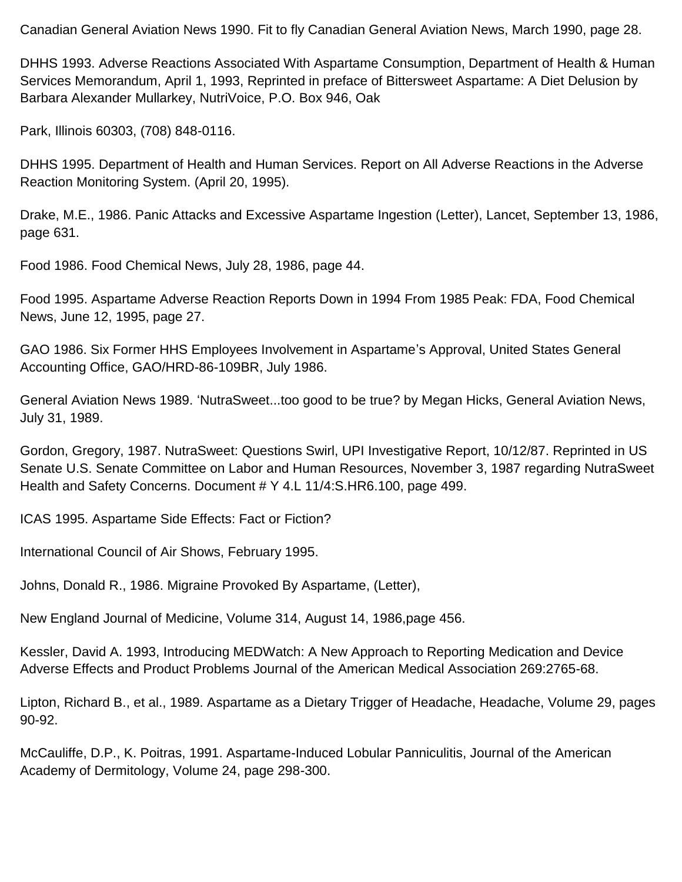Canadian General Aviation News 1990. Fit to fly Canadian General Aviation News, March 1990, page 28.

DHHS 1993. Adverse Reactions Associated With Aspartame Consumption, Department of Health & Human Services Memorandum, April 1, 1993, Reprinted in preface of Bittersweet Aspartame: A Diet Delusion by Barbara Alexander Mullarkey, NutriVoice, P.O. Box 946, Oak

Park, Illinois 60303, (708) 848-0116.

DHHS 1995. Department of Health and Human Services. Report on All Adverse Reactions in the Adverse Reaction Monitoring System. (April 20, 1995).

Drake, M.E., 1986. Panic Attacks and Excessive Aspartame Ingestion (Letter), Lancet, September 13, 1986, page 631.

Food 1986. Food Chemical News, July 28, 1986, page 44.

Food 1995. Aspartame Adverse Reaction Reports Down in 1994 From 1985 Peak: FDA, Food Chemical News, June 12, 1995, page 27.

GAO 1986. Six Former HHS Employees Involvement in Aspartame's Approval, United States General Accounting Office, GAO/HRD-86-109BR, July 1986.

General Aviation News 1989. 'NutraSweet...too good to be true? by Megan Hicks, General Aviation News, July 31, 1989.

Gordon, Gregory, 1987. NutraSweet: Questions Swirl, UPI Investigative Report, 10/12/87. Reprinted in US Senate U.S. Senate Committee on Labor and Human Resources, November 3, 1987 regarding NutraSweet Health and Safety Concerns. Document # Y 4.L 11/4:S.HR6.100, page 499.

ICAS 1995. Aspartame Side Effects: Fact or Fiction?

International Council of Air Shows, February 1995.

Johns, Donald R., 1986. Migraine Provoked By Aspartame, (Letter),

New England Journal of Medicine, Volume 314, August 14, 1986,page 456.

Kessler, David A. 1993, Introducing MEDWatch: A New Approach to Reporting Medication and Device Adverse Effects and Product Problems Journal of the American Medical Association 269:2765-68.

Lipton, Richard B., et al., 1989. Aspartame as a Dietary Trigger of Headache, Headache, Volume 29, pages 90-92.

McCauliffe, D.P., K. Poitras, 1991. Aspartame-Induced Lobular Panniculitis, Journal of the American Academy of Dermitology, Volume 24, page 298-300.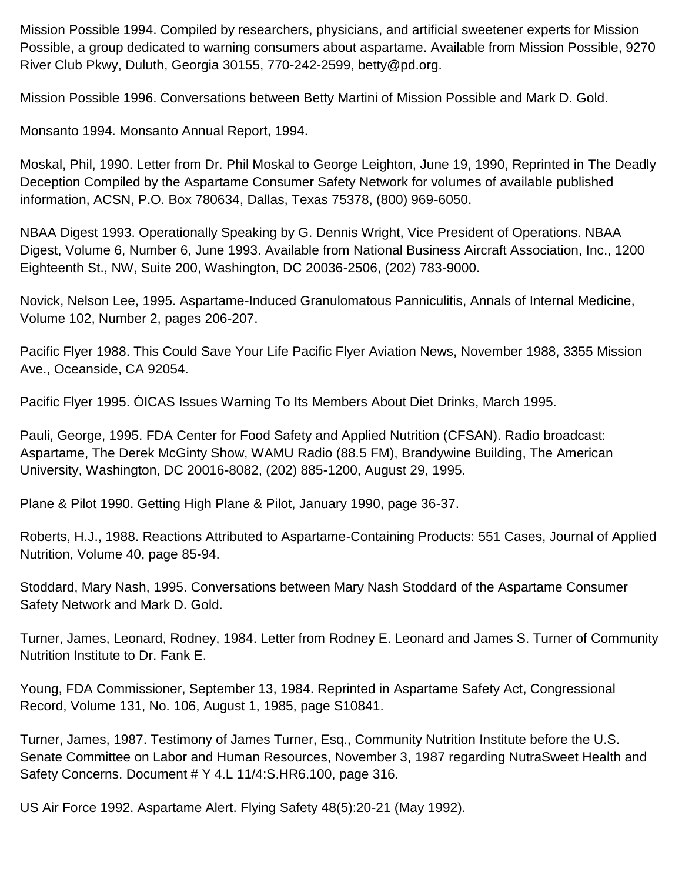Mission Possible 1994. Compiled by researchers, physicians, and artificial sweetener experts for Mission Possible, a group dedicated to warning consumers about aspartame. Available from Mission Possible, 9270 River Club Pkwy, Duluth, Georgia 30155, 770-242-2599, betty@pd.org.

Mission Possible 1996. Conversations between Betty Martini of Mission Possible and Mark D. Gold.

Monsanto 1994. Monsanto Annual Report, 1994.

Moskal, Phil, 1990. Letter from Dr. Phil Moskal to George Leighton, June 19, 1990, Reprinted in The Deadly Deception Compiled by the Aspartame Consumer Safety Network for volumes of available published information, ACSN, P.O. Box 780634, Dallas, Texas 75378, (800) 969-6050.

NBAA Digest 1993. Operationally Speaking by G. Dennis Wright, Vice President of Operations. NBAA Digest, Volume 6, Number 6, June 1993. Available from National Business Aircraft Association, Inc., 1200 Eighteenth St., NW, Suite 200, Washington, DC 20036-2506, (202) 783-9000.

Novick, Nelson Lee, 1995. Aspartame-Induced Granulomatous Panniculitis, Annals of Internal Medicine, Volume 102, Number 2, pages 206-207.

Pacific Flyer 1988. This Could Save Your Life Pacific Flyer Aviation News, November 1988, 3355 Mission Ave., Oceanside, CA 92054.

Pacific Flyer 1995. ÒICAS Issues Warning To Its Members About Diet Drinks, March 1995.

Pauli, George, 1995. FDA Center for Food Safety and Applied Nutrition (CFSAN). Radio broadcast: Aspartame, The Derek McGinty Show, WAMU Radio (88.5 FM), Brandywine Building, The American University, Washington, DC 20016-8082, (202) 885-1200, August 29, 1995.

Plane & Pilot 1990. Getting High Plane & Pilot, January 1990, page 36-37.

Roberts, H.J., 1988. Reactions Attributed to Aspartame-Containing Products: 551 Cases, Journal of Applied Nutrition, Volume 40, page 85-94.

Stoddard, Mary Nash, 1995. Conversations between Mary Nash Stoddard of the Aspartame Consumer Safety Network and Mark D. Gold.

Turner, James, Leonard, Rodney, 1984. Letter from Rodney E. Leonard and James S. Turner of Community Nutrition Institute to Dr. Fank E.

Young, FDA Commissioner, September 13, 1984. Reprinted in Aspartame Safety Act, Congressional Record, Volume 131, No. 106, August 1, 1985, page S10841.

Turner, James, 1987. Testimony of James Turner, Esq., Community Nutrition Institute before the U.S. Senate Committee on Labor and Human Resources, November 3, 1987 regarding NutraSweet Health and Safety Concerns. Document # Y 4.L 11/4:S.HR6.100, page 316.

US Air Force 1992. Aspartame Alert. Flying Safety 48(5):20-21 (May 1992).